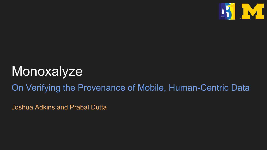

# **Monoxalyze**

#### On Verifying the Provenance of Mobile, Human-Centric Data

Joshua Adkins and Prabal Dutta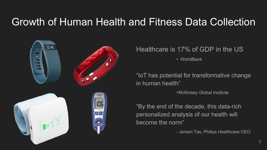#### Growth of Human Health and Fitness Data Collection



#### Healthcare is 17% of GDP in the US

- WorldBank

"IoT has potential for transformative change in human health"

-McKinsey Global Institute

"By the end of the decade, this data-rich personalized analysis of our health will become the norm"

- Jeroen Tas, Philips Healthcare CEO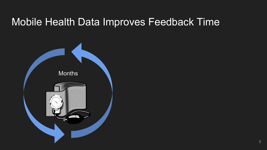#### Mobile Health Data Improves Feedback Time

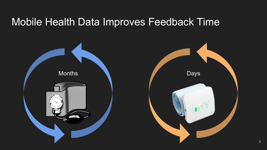#### Mobile Health Data Improves Feedback Time

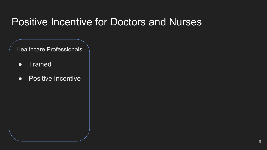### Positive Incentive for Doctors and Nurses

Healthcare Professionals

- Trained
- Positive Incentive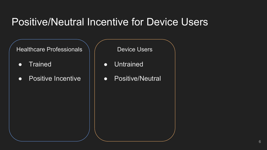#### Positive/Neutral Incentive for Device Users

Healthcare Professionals

- Trained
- Positive Incentive

Device Users

- Untrained
- Positive/Neutral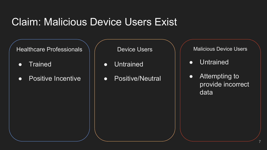#### Claim: Malicious Device Users Exist

Healthcare Professionals

- Trained
- Positive Incentive

Device Users

- Untrained
- Positive/Neutral

Malicious Device Users

● Untrained

● Attempting to provide incorrect data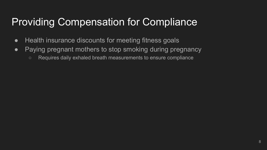# Providing Compensation for Compliance

- Health insurance discounts for meeting fitness goals
- Paying pregnant mothers to stop smoking during pregnancy
	- Requires daily exhaled breath measurements to ensure compliance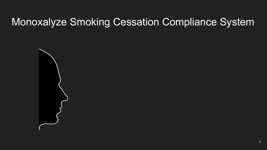# Monoxalyze Smoking Cessation Compliance System

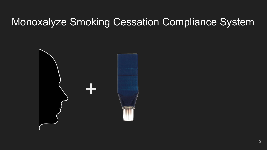# Monoxalyze Smoking Cessation Compliance System

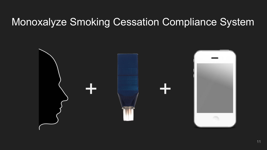### Monoxalyze Smoking Cessation Compliance System

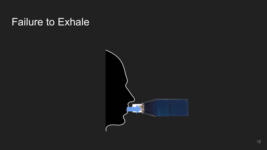# Failure to Exhale

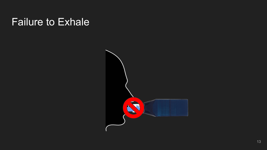# Failure to Exhale

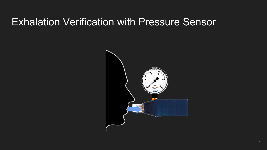#### Exhalation Verification with Pressure Sensor

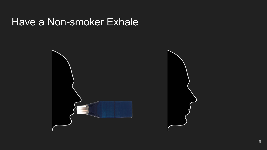#### Have a Non-smoker Exhale

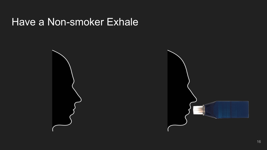#### Have a Non-smoker Exhale

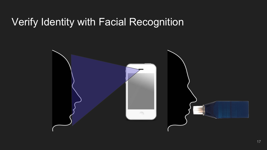# Verify Identity with Facial Recognition

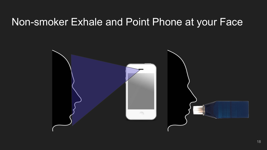#### Non-smoker Exhale and Point Phone at your Face

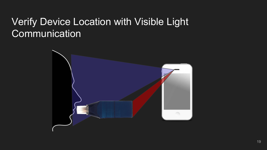# Verify Device Location with Visible Light **Communication**

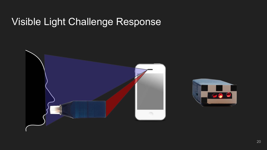#### Visible Light Challenge Response



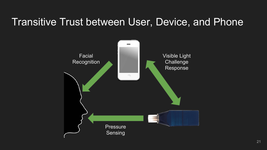# Transitive Trust between User, Device, and Phone

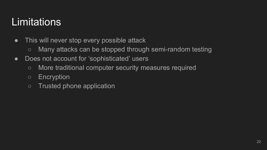# **Limitations**

- This will never stop every possible attack
	- Many attacks can be stopped through semi-random testing
- Does not account for 'sophisticated' users
	- More traditional computer security measures required
	- Encryption
	- Trusted phone application